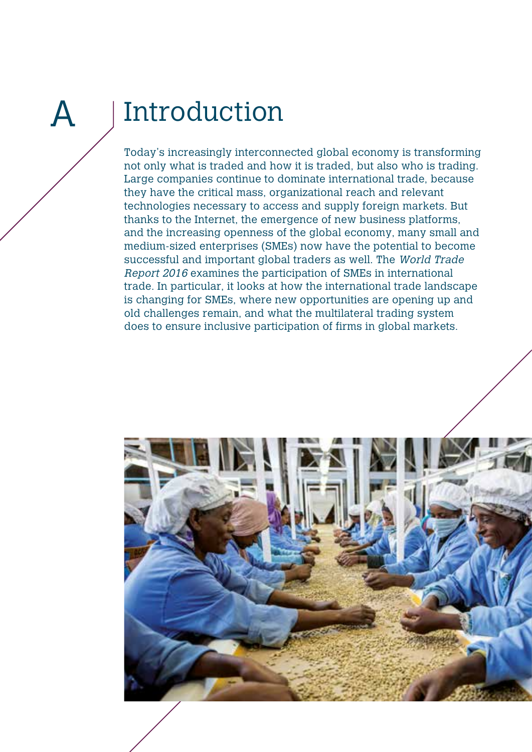# A

## Introduction

Today's increasingly interconnected global economy is transforming not only what is traded and how it is traded, but also who is trading. Large companies continue to dominate international trade, because they have the critical mass, organizational reach and relevant technologies necessary to access and supply foreign markets. But thanks to the Internet, the emergence of new business platforms, and the increasing openness of the global economy, many small and medium-sized enterprises (SMEs) now have the potential to become successful and important global traders as well. The World Trade Report 2016 examines the participation of SMEs in international trade. In particular, it looks at how the international trade landscape is changing for SMEs, where new opportunities are opening up and old challenges remain, and what the multilateral trading system does to ensure inclusive participation of firms in global markets.

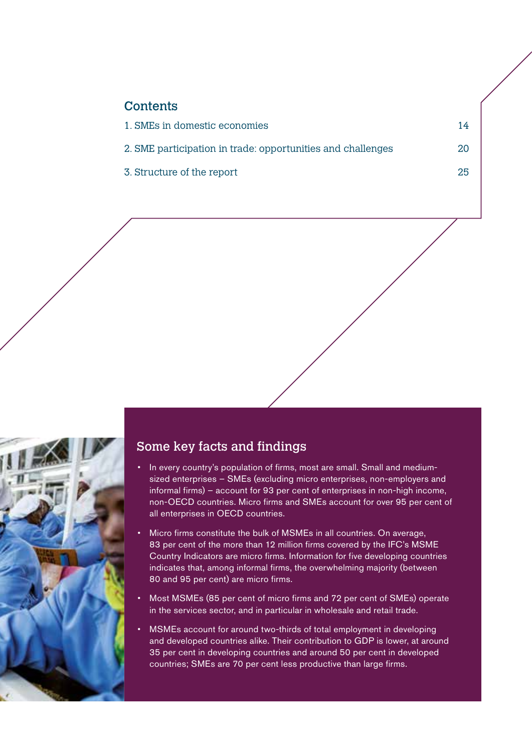| <b>Contents</b> |  |  |  |  |
|-----------------|--|--|--|--|
|                 |  |  |  |  |

| 1. SMEs in domestic economies                               |    |
|-------------------------------------------------------------|----|
| 2. SME participation in trade: opportunities and challenges | 20 |

3. Structure of the report 25



#### Some key facts and findings

- In every country's population of firms, most are small. Small and mediumsized enterprises – SMEs (excluding micro enterprises, non-employers and informal firms) – account for 93 per cent of enterprises in non-high income, non-OECD countries. Micro firms and SMEs account for over 95 per cent of all enterprises in OECD countries.
- Micro firms constitute the bulk of MSMEs in all countries. On average, 83 per cent of the more than 12 million firms covered by the IFC's MSME Country Indicators are micro firms. Information for five developing countries indicates that, among informal firms, the overwhelming majority (between 80 and 95 per cent) are micro firms.
- Most MSMEs (85 per cent of micro firms and 72 per cent of SMEs) operate in the services sector, and in particular in wholesale and retail trade.
- MSMEs account for around two-thirds of total employment in developing and developed countries alike. Their contribution to GDP is lower, at around 35 per cent in developing countries and around 50 per cent in developed countries; SMEs are 70 per cent less productive than large firms.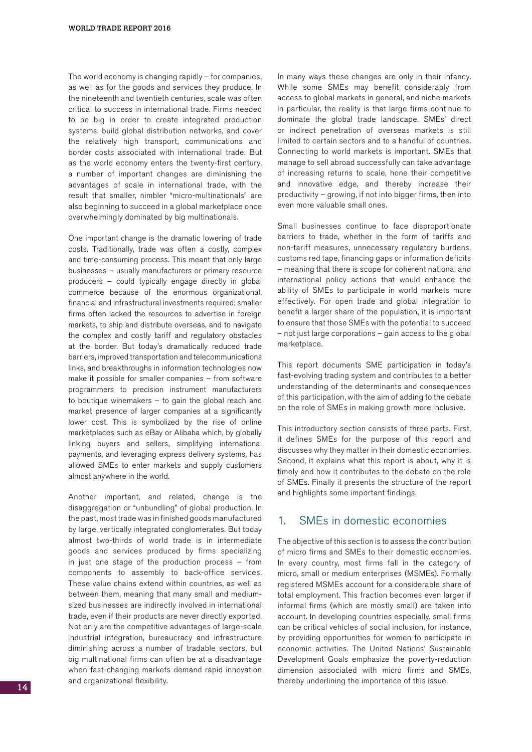The world economy is changing rapidly – for companies, as well as for the goods and services they produce. In the nineteenth and twentieth centuries, scale was often critical to success in international trade. Firms needed to be big in order to create integrated production systems, build global distribution networks, and cover the relatively high transport, communications and border costs associated with international trade. But as the world economy enters the twenty-first century, a number of important changes are diminishing the advantages of scale in international trade, with the result that smaller, nimbler "micro-multinationals" are also beginning to succeed in a global marketplace once overwhelmingly dominated by big multinationals.

One important change is the dramatic lowering of trade costs. Traditionally, trade was often a costly, complex and time-consuming process. This meant that only large businesses – usually manufacturers or primary resource producers – could typically engage directly in global commerce because of the enormous organizational, financial and infrastructural investments required; smaller firms often lacked the resources to advertise in foreign markets, to ship and distribute overseas, and to navigate the complex and costly tariff and regulatory obstacles at the border. But today's dramatically reduced trade barriers, improved transportation and telecommunications links, and breakthroughs in information technologies now make it possible for smaller companies – from software programmers to precision instrument manufacturers to boutique winemakers – to gain the global reach and market presence of larger companies at a significantly lower cost. This is symbolized by the rise of online marketplaces such as eBay or Alibaba which, by globally linking buyers and sellers, simplifying international payments, and leveraging express delivery systems, has allowed SMEs to enter markets and supply customers almost anywhere in the world.

Another important, and related, change is the disaggregation or "unbundling" of global production. In the past, most trade was in finished goods manufactured by large, vertically integrated conglomerates. But today almost two-thirds of world trade is in intermediate goods and services produced by firms specializing in just one stage of the production process – from components to assembly to back-office services. These value chains extend within countries, as well as between them, meaning that many small and mediumsized businesses are indirectly involved in international trade, even if their products are never directly exported. Not only are the competitive advantages of large-scale industrial integration, bureaucracy and infrastructure diminishing across a number of tradable sectors, but big multinational firms can often be at a disadvantage when fast-changing markets demand rapid innovation and organizational flexibility.

In many ways these changes are only in their infancy. While some SMEs may benefit considerably from access to global markets in general, and niche markets in particular, the reality is that large firms continue to dominate the global trade landscape. SMEs' direct or indirect penetration of overseas markets is still limited to certain sectors and to a handful of countries. Connecting to world markets is important. SMEs that manage to sell abroad successfully can take advantage of increasing returns to scale, hone their competitive and innovative edge, and thereby increase their productivity – growing, if not into bigger firms, then into even more valuable small ones.

Small businesses continue to face disproportionate barriers to trade, whether in the form of tariffs and non-tariff measures, unnecessary regulatory burdens, customs red tape, financing gaps or information deficits – meaning that there is scope for coherent national and international policy actions that would enhance the ability of SMEs to participate in world markets more effectively. For open trade and global integration to benefit a larger share of the population, it is important to ensure that those SMEs with the potential to succeed – not just large corporations – gain access to the global marketplace.

This report documents SME participation in today's fast-evolving trading system and contributes to a better understanding of the determinants and consequences of this participation, with the aim of adding to the debate on the role of SMEs in making growth more inclusive.

This introductory section consists of three parts. First, it defines SMEs for the purpose of this report and discusses why they matter in their domestic economies. Second, it explains what this report is about, why it is timely and how it contributes to the debate on the role of SMEs. Finally it presents the structure of the report and highlights some important findings.

#### 1. SMEs in domestic economies

The objective of this section is to assess the contribution of micro firms and SMEs to their domestic economies. In every country, most firms fall in the category of micro, small or medium enterprises (MSMEs). Formally registered MSMEs account for a considerable share of total employment. This fraction becomes even larger if informal firms (which are mostly small) are taken into account. In developing countries especially, small firms can be critical vehicles of social inclusion, for instance, by providing opportunities for women to participate in economic activities. The United Nations' Sustainable Development Goals emphasize the poverty-reduction dimension associated with micro firms and SMEs, thereby underlining the importance of this issue.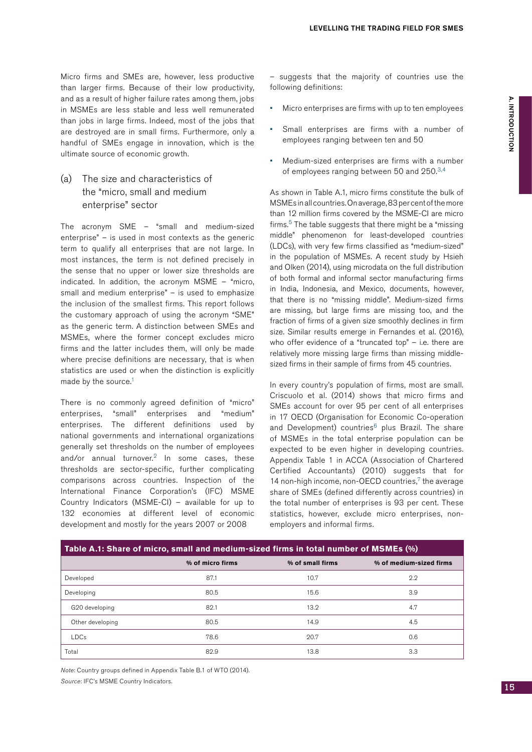Micro firms and SMEs are, however, less productive than larger firms. Because of their low productivity, and as a result of higher failure rates among them, jobs in MSMEs are less stable and less well remunerated than jobs in large firms. Indeed, most of the jobs that are destroyed are in small firms. Furthermore, only a handful of SMEs engage in innovation, which is the ultimate source of economic growth.

#### (a) The size and characteristics of the "micro, small and medium enterprise" sector

The acronym SME – "small and medium-sized enterprise" – is used in most contexts as the generic term to qualify all enterprises that are not large. In most instances, the term is not defined precisely in the sense that no upper or lower size thresholds are indicated. In addition, the acronym MSME – "micro, small and medium enterprise" – is used to emphasize the inclusion of the smallest firms. This report follows the customary approach of using the acronym "SME" as the generic term. A distinction between SMEs and MSMEs, where the former concept excludes micro firms and the latter includes them, will only be made where precise definitions are necessary, that is when statistics are used or when the distinction is explicitly made by the source.<sup>1</sup>

There is no commonly agreed definition of "micro" enterprises, "small" enterprises and "medium" enterprises. The different definitions used by national governments and international organizations generally set thresholds on the number of employees and/or annual turnover. $2$  In some cases, these thresholds are sector-specific, further complicating comparisons across countries. Inspection of the International Finance Corporation's (IFC) MSME Country Indicators (MSME-CI) – available for up to 132 economies at different level of economic development and mostly for the years 2007 or 2008

– suggests that the majority of countries use the following definitions:

- Micro enterprises are firms with up to ten employees
- Small enterprises are firms with a number of employees ranging between ten and 50
- Medium-sized enterprises are firms with a number of employees ranging between 50 and 250.3,4

As shown in Table A.1, micro firms constitute the bulk of MSMEs inall countries.Onaverage,83per centofthemore than 12 million firms covered by the MSME-CI are micro firms.<sup>5</sup> The table suggests that there might be a "missing" middle" phenomenon for least-developed countries (LDCs), with very few firms classified as "medium-sized" in the population of MSMEs. A recent study by Hsieh and Olken (2014), using microdata on the full distribution of both formal and informal sector manufacturing firms in India, Indonesia, and Mexico, documents, however, that there is no "missing middle". Medium-sized firms are missing, but large firms are missing too, and the fraction of firms of a given size smoothly declines in firm size. Similar results emerge in Fernandes et al. (2016), who offer evidence of a "truncated top" - i.e. there are relatively more missing large firms than missing middlesized firms in their sample of firms from 45 countries.

In every country's population of firms, most are small. Criscuolo et al. (2014) shows that micro firms and SMEs account for over 95 per cent of all enterprises in 17 OECD (Organisation for Economic Co-operation and Development) countries<sup>6</sup> plus Brazil. The share of MSMEs in the total enterprise population can be expected to be even higher in developing countries. Appendix Table 1 in ACCA (Association of Chartered Certified Accountants) (2010) suggests that for 14 non-high income, non-OECD countries, $7$  the average share of SMEs (defined differently across countries) in the total number of enterprises is 93 per cent. These statistics, however, exclude micro enterprises, nonemployers and informal firms.

| Table A.1: Share of micro, small and medium-sized firms in total number of MSMEs (%) |                  |                  |                         |  |  |
|--------------------------------------------------------------------------------------|------------------|------------------|-------------------------|--|--|
|                                                                                      | % of micro firms | % of small firms | % of medium-sized firms |  |  |
| Developed                                                                            | 87.1             | 10.7             | 2.2                     |  |  |
| Developing                                                                           | 80.5             | 15.6             | 3.9                     |  |  |
| G20 developing                                                                       | 82.1             | 13.2             | 4.7                     |  |  |
| Other developing                                                                     | 80.5             | 14.9             | 4.5                     |  |  |
| <b>LDCs</b>                                                                          | 78.6             | 20.7             | 0.6                     |  |  |
| Total                                                                                | 82.9             | 13.8             | 3.3                     |  |  |

Note: Country groups defined in Appendix Table B.1 of WTO (2014). Source: IFC's MSME Country Indicators.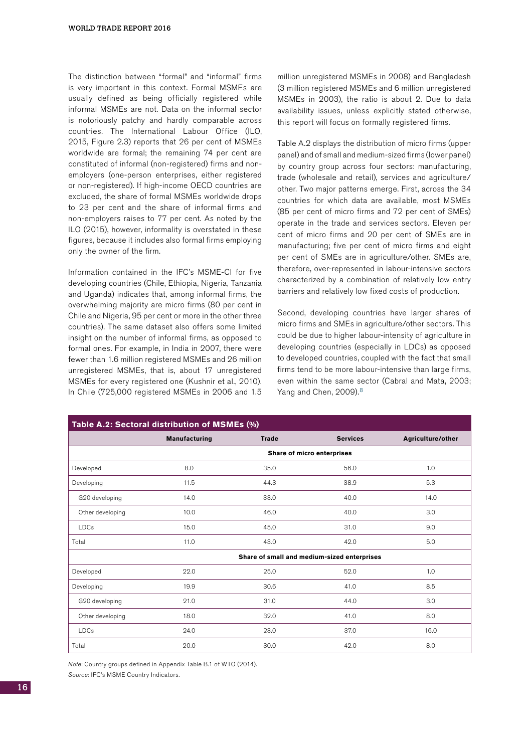The distinction between "formal" and "informal" firms is very important in this context. Formal MSMEs are usually defined as being officially registered while informal MSMEs are not. Data on the informal sector is notoriously patchy and hardly comparable across countries. The International Labour Office (ILO, 2015, Figure 2.3) reports that 26 per cent of MSMEs worldwide are formal; the remaining 74 per cent are constituted of informal (non-registered) firms and nonemployers (one-person enterprises, either registered or non-registered). If high-income OECD countries are excluded, the share of formal MSMEs worldwide drops to 23 per cent and the share of informal firms and non-employers raises to 77 per cent. As noted by the ILO (2015), however, informality is overstated in these figures, because it includes also formal firms employing only the owner of the firm.

Information contained in the IFC's MSME-CI for five developing countries (Chile, Ethiopia, Nigeria, Tanzania and Uganda) indicates that, among informal firms, the overwhelming majority are micro firms (80 per cent in Chile and Nigeria, 95 per cent or more in the other three countries). The same dataset also offers some limited insight on the number of informal firms, as opposed to formal ones. For example, in India in 2007, there were fewer than 1.6 million registered MSMEs and 26 million unregistered MSMEs, that is, about 17 unregistered MSMEs for every registered one (Kushnir et al., 2010). In Chile (725,000 registered MSMEs in 2006 and 1.5 million unregistered MSMEs in 2008) and Bangladesh (3 million registered MSMEs and 6 million unregistered MSMEs in 2003), the ratio is about 2. Due to data availability issues, unless explicitly stated otherwise, this report will focus on formally registered firms.

Table A.2 displays the distribution of micro firms (upper panel) and of small and medium-sized firms (lower panel) by country group across four sectors: manufacturing, trade (wholesale and retail), services and agriculture/ other. Two major patterns emerge. First, across the 34 countries for which data are available, most MSMEs (85 per cent of micro firms and 72 per cent of SMEs) operate in the trade and services sectors. Eleven per cent of micro firms and 20 per cent of SMEs are in manufacturing; five per cent of micro firms and eight per cent of SMEs are in agriculture/other. SMEs are, therefore, over-represented in labour-intensive sectors characterized by a combination of relatively low entry barriers and relatively low fixed costs of production.

Second, developing countries have larger shares of micro firms and SMEs in agriculture/other sectors. This could be due to higher labour-intensity of agriculture in developing countries (especially in LDCs) as opposed to developed countries, coupled with the fact that small firms tend to be more labour-intensive than large firms, even within the same sector (Cabral and Mata, 2003; Yang and Chen, 2009).<sup>8</sup>

| Table A.2: Sectoral distribution of MSMEs (%) |                                             |              |                 |                   |  |  |
|-----------------------------------------------|---------------------------------------------|--------------|-----------------|-------------------|--|--|
|                                               | <b>Manufacturing</b>                        | <b>Trade</b> | <b>Services</b> | Agriculture/other |  |  |
|                                               | Share of micro enterprises                  |              |                 |                   |  |  |
| Developed                                     | 8.0                                         | 35.0         | 56.0            | 1.0               |  |  |
| Developing                                    | 11.5                                        | 44.3         | 38.9            | 5.3               |  |  |
| G20 developing                                | 14.0                                        | 33.0         | 40.0            | 14.0              |  |  |
| Other developing                              | 10.0                                        | 46.0         | 40.0            | 3.0               |  |  |
| <b>LDCs</b>                                   | 15.0                                        | 45.0         | 31.0            | 9.0               |  |  |
| Total                                         | 11.0                                        | 43.0         | 42.0            | 5.0               |  |  |
|                                               | Share of small and medium-sized enterprises |              |                 |                   |  |  |
| Developed                                     | 22.0                                        | 25.0         | 52.0            | 1.0               |  |  |
| Developing                                    | 19.9                                        | 30.6         | 41.0            | 8.5               |  |  |
| G20 developing                                | 21.0                                        | 31.0         | 44.0            | 3.0               |  |  |
| Other developing                              | 18.0                                        | 32.0         | 41.0            | 8.0               |  |  |
| <b>LDCs</b>                                   | 24.0                                        | 23.0         | 37.0            | 16.0              |  |  |
| Total                                         | 20.0                                        | 30.0         | 42.0            | 8.0               |  |  |

Note: Country groups defined in Appendix Table B.1 of WTO (2014).

Source: IFC's MSME Country Indicators.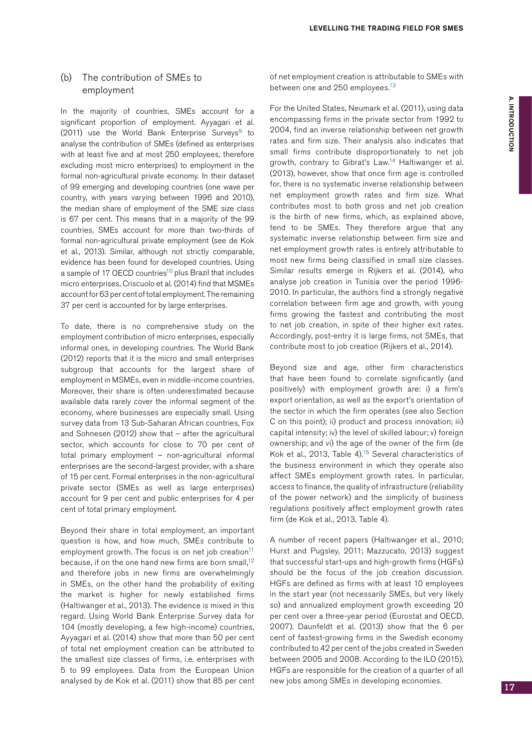#### (b) The contribution of SMEs to employment

In the majority of countries, SMEs account for a significant proportion of employment. Ayyagari et al. (2011) use the World Bank Enterprise Surveys $9$  to analyse the contribution of SMEs (defined as enterprises with at least five and at most 250 employees, therefore excluding most micro enterprises) to employment in the formal non-agricultural private economy. In their dataset of 99 emerging and developing countries (one wave per country, with years varying between 1996 and 2010), the median share of employment of the SME size class is 67 per cent. This means that in a majority of the 99 countries, SMEs account for more than two-thirds of formal non-agricultural private employment (see de Kok et al., 2013). Similar, although not strictly comparable, evidence has been found for developed countries. Using a sample of 17 OECD countries<sup>10</sup> plus Brazil that includes micro enterprises, Criscuolo et al. (2014) find that MSMEs account for 63 per cent of total employment. The remaining 37 per cent is accounted for by large enterprises.

To date, there is no comprehensive study on the employment contribution of micro enterprises, especially informal ones, in developing countries. The World Bank (2012) reports that it is the micro and small enterprises subgroup that accounts for the largest share of employment in MSMEs, even in middle-income countries. Moreover, their share is often underestimated because available data rarely cover the informal segment of the economy, where businesses are especially small. Using survey data from 13 Sub-Saharan African countries, Fox and Sohnesen (2012) show that – after the agricultural sector, which accounts for close to 70 per cent of total primary employment – non-agricultural informal enterprises are the second-largest provider, with a share of 15 per cent. Formal enterprises in the non-agricultural private sector (SMEs as well as large enterprises) account for 9 per cent and public enterprises for 4 per cent of total primary employment.

Beyond their share in total employment, an important question is how, and how much, SMEs contribute to employment growth. The focus is on net job creation<sup>11</sup> because, if on the one hand new firms are born small,<sup>12</sup> and therefore jobs in new firms are overwhelmingly in SMEs, on the other hand the probability of exiting the market is higher for newly established firms (Haltiwanger et al., 2013). The evidence is mixed in this regard. Using World Bank Enterprise Survey data for 104 (mostly developing, a few high-income) countries, Ayyagari et al. (2014) show that more than 50 per cent of total net employment creation can be attributed to the smallest size classes of firms, i.e. enterprises with 5 to 99 employees. Data from the European Union analysed by de Kok et al. (2011) show that 85 per cent of net employment creation is attributable to SMEs with between one and 250 employees.<sup>13</sup>

For the United States, Neumark et al. (2011), using data encompassing firms in the private sector from 1992 to 2004, find an inverse relationship between net growth rates and firm size. Their analysis also indicates that small firms contribute disproportionately to net job growth, contrary to Gibrat's Law.14 Haltiwanger et al. (2013), however, show that once firm age is controlled for, there is no systematic inverse relationship between net employment growth rates and firm size. What contributes most to both gross and net job creation is the birth of new firms, which, as explained above, tend to be SMEs. They therefore argue that any systematic inverse relationship between firm size and net employment growth rates is entirely attributable to most new firms being classified in small size classes. Similar results emerge in Rijkers et al. (2014), who analyse job creation in Tunisia over the period 1996- 2010. In particular, the authors find a strongly negative correlation between firm age and growth, with young firms growing the fastest and contributing the most to net job creation, in spite of their higher exit rates. Accordingly, post-entry it is large firms, not SMEs, that contribute most to job creation (Rijkers et al., 2014).

Beyond size and age, other firm characteristics that have been found to correlate significantly (and positively) with employment growth are: i) a firm's export orientation, as well as the export's orientation of the sector in which the firm operates (see also Section C on this point); ii) product and process innovation; iii) capital intensity; iv) the level of skilled labour; v) foreign ownership; and vi) the age of the owner of the firm (de Kok et al., 2013, Table 4).15 Several characteristics of the business environment in which they operate also affect SMEs employment growth rates. In particular, access to finance, the quality of infrastructure (reliability of the power network) and the simplicity of business regulations positively affect employment growth rates firm (de Kok et al., 2013, Table 4).

A number of recent papers (Haltiwanger et al., 2010; Hurst and Pugsley, 2011; Mazzucato, 2013) suggest that successful start-ups and high-growth firms (HGFs) should be the focus of the job creation discussion. HGFs are defined as firms with at least 10 employees in the start year (not necessarily SMEs, but very likely so) and annualized employment growth exceeding 20 per cent over a three-year period (Eurostat and OECD, 2007). Daunfeldt et al. (2013) show that the 6 per cent of fastest-growing firms in the Swedish economy contributed to 42 per cent of the jobs created in Sweden between 2005 and 2008. According to the ILO (2015), HGFs are responsible for the creation of a quarter of all new jobs among SMEs in developing economies.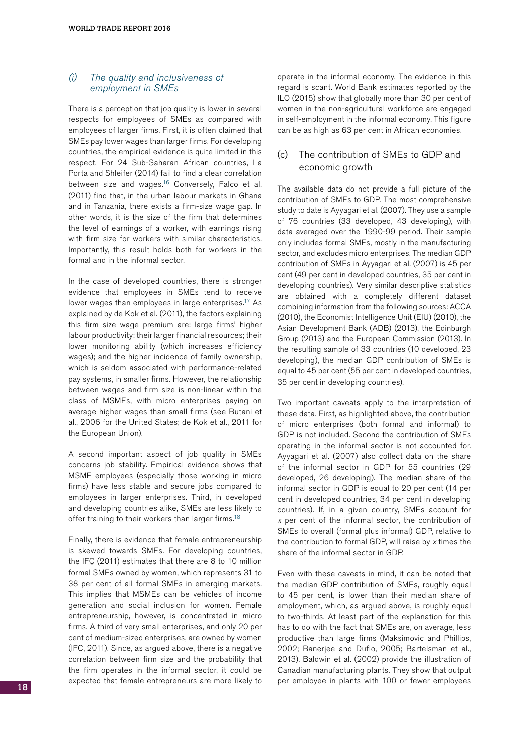#### $(i)$  The quality and inclusiveness of employment in SMEs

There is a perception that job quality is lower in several respects for employees of SMEs as compared with employees of larger firms. First, it is often claimed that SMEs pay lower wages than larger firms. For developing countries, the empirical evidence is quite limited in this respect. For 24 Sub-Saharan African countries, La Porta and Shleifer (2014) fail to find a clear correlation between size and wages.<sup>16</sup> Conversely, Falco et al. (2011) find that, in the urban labour markets in Ghana and in Tanzania, there exists a firm-size wage gap. In other words, it is the size of the firm that determines the level of earnings of a worker, with earnings rising with firm size for workers with similar characteristics. Importantly, this result holds both for workers in the formal and in the informal sector.

In the case of developed countries, there is stronger evidence that employees in SMEs tend to receive lower wages than employees in large enterprises.<sup>17</sup> As explained by de Kok et al. (2011), the factors explaining this firm size wage premium are: large firms' higher labour productivity; their larger financial resources; their lower monitoring ability (which increases efficiency wages); and the higher incidence of family ownership, which is seldom associated with performance-related pay systems, in smaller firms. However, the relationship between wages and firm size is non-linear within the class of MSMEs, with micro enterprises paying on average higher wages than small firms (see Butani et al., 2006 for the United States; de Kok et al., 2011 for the European Union).

A second important aspect of job quality in SMEs concerns job stability. Empirical evidence shows that MSME employees (especially those working in micro firms) have less stable and secure jobs compared to employees in larger enterprises. Third, in developed and developing countries alike, SMEs are less likely to offer training to their workers than larger firms.<sup>18</sup>

Finally, there is evidence that female entrepreneurship is skewed towards SMEs. For developing countries, the IFC (2011) estimates that there are 8 to 10 million formal SMEs owned by women, which represents 31 to 38 per cent of all formal SMEs in emerging markets. This implies that MSMEs can be vehicles of income generation and social inclusion for women. Female entrepreneurship, however, is concentrated in micro firms. A third of very small enterprises, and only 20 per cent of medium-sized enterprises, are owned by women (IFC, 2011). Since, as argued above, there is a negative correlation between firm size and the probability that the firm operates in the informal sector, it could be expected that female entrepreneurs are more likely to operate in the informal economy. The evidence in this regard is scant. World Bank estimates reported by the ILO (2015) show that globally more than 30 per cent of women in the non-agricultural workforce are engaged in self-employment in the informal economy. This figure can be as high as 63 per cent in African economies.

#### (c) The contribution of SMEs to GDP and economic growth

The available data do not provide a full picture of the contribution of SMEs to GDP. The most comprehensive study to date is Ayyagari et al. (2007). They use a sample of 76 countries (33 developed, 43 developing), with data averaged over the 1990-99 period. Their sample only includes formal SMEs, mostly in the manufacturing sector, and excludes micro enterprises. The median GDP contribution of SMEs in Ayyagari et al. (2007) is 45 per cent (49 per cent in developed countries, 35 per cent in developing countries). Very similar descriptive statistics are obtained with a completely different dataset combining information from the following sources: ACCA (2010), the Economist Intelligence Unit (EIU) (2010), the Asian Development Bank (ADB) (2013), the Edinburgh Group (2013) and the European Commission (2013). In the resulting sample of 33 countries (10 developed, 23 developing), the median GDP contribution of SMEs is equal to 45 per cent (55 per cent in developed countries, 35 per cent in developing countries).

Two important caveats apply to the interpretation of these data. First, as highlighted above, the contribution of micro enterprises (both formal and informal) to GDP is not included. Second the contribution of SMEs operating in the informal sector is not accounted for. Ayyagari et al. (2007) also collect data on the share of the informal sector in GDP for 55 countries (29 developed, 26 developing). The median share of the informal sector in GDP is equal to 20 per cent (14 per cent in developed countries, 34 per cent in developing countries). If, in a given country, SMEs account for <sup>x</sup> per cent of the informal sector, the contribution of SMEs to overall (formal plus informal) GDP, relative to the contribution to formal GDP, will raise by  $x$  times the share of the informal sector in GDP.

Even with these caveats in mind, it can be noted that the median GDP contribution of SMEs, roughly equal to 45 per cent, is lower than their median share of employment, which, as argued above, is roughly equal to two-thirds. At least part of the explanation for this has to do with the fact that SMEs are, on average, less productive than large firms (Maksimovic and Phillips, 2002; Banerjee and Duflo, 2005; Bartelsman et al., 2013). Baldwin et al. (2002) provide the illustration of Canadian manufacturing plants. They show that output per employee in plants with 100 or fewer employees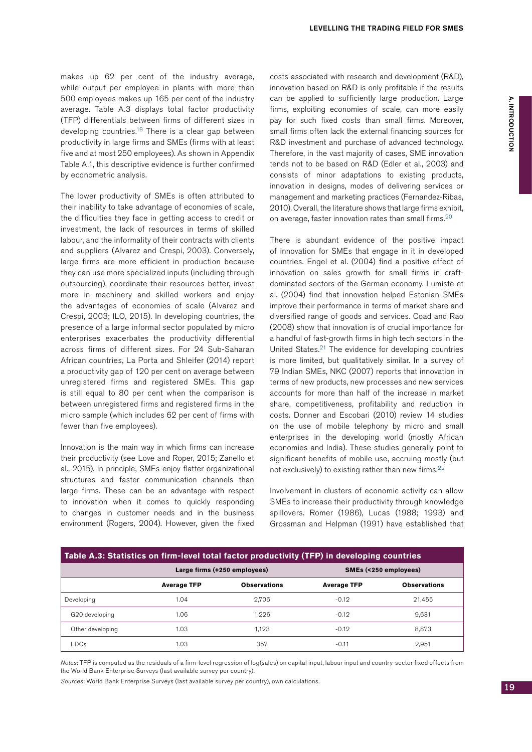makes up 62 per cent of the industry average, while output per employee in plants with more than 500 employees makes up 165 per cent of the industry average. Table A.3 displays total factor productivity (TFP) differentials between firms of different sizes in developing countries.<sup>19</sup> There is a clear gap between productivity in large firms and SMEs (firms with at least five and at most 250 employees). As shown in Appendix Table A.1, this descriptive evidence is further confirmed by econometric analysis.

The lower productivity of SMEs is often attributed to their inability to take advantage of economies of scale, the difficulties they face in getting access to credit or investment, the lack of resources in terms of skilled labour, and the informality of their contracts with clients and suppliers (Alvarez and Crespi, 2003). Conversely, large firms are more efficient in production because they can use more specialized inputs (including through outsourcing), coordinate their resources better, invest more in machinery and skilled workers and enjoy the advantages of economies of scale (Alvarez and Crespi, 2003; ILO, 2015). In developing countries, the presence of a large informal sector populated by micro enterprises exacerbates the productivity differential across firms of different sizes. For 24 Sub-Saharan African countries, La Porta and Shleifer (2014) report a productivity gap of 120 per cent on average between unregistered firms and registered SMEs. This gap is still equal to 80 per cent when the comparison is between unregistered firms and registered firms in the micro sample (which includes 62 per cent of firms with fewer than five employees).

Innovation is the main way in which firms can increase their productivity (see Love and Roper, 2015; Zanello et al., 2015). In principle, SMEs enjoy flatter organizational structures and faster communication channels than large firms. These can be an advantage with respect to innovation when it comes to quickly responding to changes in customer needs and in the business environment (Rogers, 2004). However, given the fixed costs associated with research and development (R&D), innovation based on R&D is only profitable if the results can be applied to sufficiently large production. Large firms, exploiting economies of scale, can more easily pay for such fixed costs than small firms. Moreover, small firms often lack the external financing sources for R&D investment and purchase of advanced technology. Therefore, in the vast majority of cases, SME innovation tends not to be based on R&D (Edler et al., 2003) and consists of minor adaptations to existing products, innovation in designs, modes of delivering services or management and marketing practices (Fernandez-Ribas, 2010). Overall, the literature shows that large firms exhibit, on average, faster innovation rates than small firms.20

There is abundant evidence of the positive impact of innovation for SMEs that engage in it in developed countries. Engel et al. (2004) find a positive effect of innovation on sales growth for small firms in craftdominated sectors of the German economy. Lumiste et al. (2004) find that innovation helped Estonian SMEs improve their performance in terms of market share and diversified range of goods and services. Coad and Rao (2008) show that innovation is of crucial importance for a handful of fast-growth firms in high tech sectors in the United States.21 The evidence for developing countries is more limited, but qualitatively similar. In a survey of 79 Indian SMEs, NKC (2007) reports that innovation in terms of new products, new processes and new services accounts for more than half of the increase in market share, competitiveness, profitability and reduction in costs. Donner and Escobari (2010) review 14 studies on the use of mobile telephony by micro and small enterprises in the developing world (mostly African economies and India). These studies generally point to significant benefits of mobile use, accruing mostly (but not exclusively) to existing rather than new firms.22

Involvement in clusters of economic activity can allow SMEs to increase their productivity through knowledge spillovers. Romer (1986), Lucas (1988; 1993) and Grossman and Helpman (1991) have established that

| Table A.3: Statistics on firm-level total factor productivity (TFP) in developing countries |                    |                              |                       |                     |  |
|---------------------------------------------------------------------------------------------|--------------------|------------------------------|-----------------------|---------------------|--|
|                                                                                             |                    | Large firms (+250 employees) | SMEs (<250 employees) |                     |  |
|                                                                                             | <b>Average TFP</b> | <b>Observations</b>          | <b>Average TFP</b>    | <b>Observations</b> |  |
| Developing                                                                                  | 1.04               | 2.706                        | $-0.12$               | 21.455              |  |
| G20 developing                                                                              | 1.06               | 1.226                        | $-0.12$               | 9.631               |  |
| Other developing                                                                            | 1.03               | 1.123                        | $-0.12$               | 8.873               |  |
| LDCs                                                                                        | 1.03               | 357                          | $-0.11$               | 2.951               |  |

Notes: TFP is computed as the residuals of a firm-level regression of log(sales) on capital input, labour input and country-sector fixed effects from the World Bank Enterprise Surveys (last available survey per country).

Sources: World Bank Enterprise Surveys (last available survey per country), own calculations.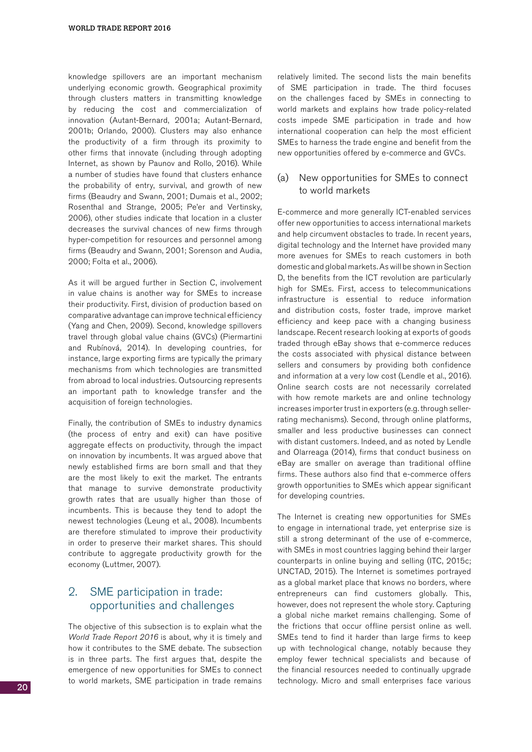knowledge spillovers are an important mechanism underlying economic growth. Geographical proximity through clusters matters in transmitting knowledge by reducing the cost and commercialization of innovation (Autant-Bernard, 2001a; Autant-Bernard, 2001b; Orlando, 2000). Clusters may also enhance the productivity of a firm through its proximity to other firms that innovate (including through adopting Internet, as shown by Paunov and Rollo, 2016). While a number of studies have found that clusters enhance the probability of entry, survival, and growth of new firms (Beaudry and Swann, 2001; Dumais et al., 2002; Rosenthal and Strange, 2005; Pe'er and Vertinsky, 2006), other studies indicate that location in a cluster decreases the survival chances of new firms through hyper-competition for resources and personnel among firms (Beaudry and Swann, 2001; Sorenson and Audia, 2000; Folta et al., 2006).

As it will be argued further in Section C, involvement in value chains is another way for SMEs to increase their productivity. First, division of production based on comparative advantage can improve technical efficiency (Yang and Chen, 2009). Second, knowledge spillovers travel through global value chains (GVCs) (Piermartini and Rubínová, 2014). In developing countries, for instance, large exporting firms are typically the primary mechanisms from which technologies are transmitted from abroad to local industries. Outsourcing represents an important path to knowledge transfer and the acquisition of foreign technologies.

Finally, the contribution of SMEs to industry dynamics (the process of entry and exit) can have positive aggregate effects on productivity, through the impact on innovation by incumbents. It was argued above that newly established firms are born small and that they are the most likely to exit the market. The entrants that manage to survive demonstrate productivity growth rates that are usually higher than those of incumbents. This is because they tend to adopt the newest technologies (Leung et al., 2008). Incumbents are therefore stimulated to improve their productivity in order to preserve their market shares. This should contribute to aggregate productivity growth for the economy (Luttmer, 2007).

#### 2. SME participation in trade: opportunities and challenges

The objective of this subsection is to explain what the World Trade Report 2016 is about, why it is timely and how it contributes to the SME debate. The subsection is in three parts. The first argues that, despite the emergence of new opportunities for SMEs to connect to world markets, SME participation in trade remains relatively limited. The second lists the main benefits of SME participation in trade. The third focuses on the challenges faced by SMEs in connecting to world markets and explains how trade policy-related costs impede SME participation in trade and how international cooperation can help the most efficient SMEs to harness the trade engine and benefit from the new opportunities offered by e-commerce and GVCs.

#### (a) New opportunities for SMEs to connect to world markets

E-commerce and more generally ICT-enabled services offer new opportunities to access international markets and help circumvent obstacles to trade. In recent years, digital technology and the Internet have provided many more avenues for SMEs to reach customers in both domestic and global markets. As will be shown in Section D, the benefits from the ICT revolution are particularly high for SMEs. First, access to telecommunications infrastructure is essential to reduce information and distribution costs, foster trade, improve market efficiency and keep pace with a changing business landscape. Recent research looking at exports of goods traded through eBay shows that e-commerce reduces the costs associated with physical distance between sellers and consumers by providing both confidence and information at a very low cost (Lendle et al., 2016). Online search costs are not necessarily correlated with how remote markets are and online technology increases importer trust in exporters (e.g. through sellerrating mechanisms). Second, through online platforms, smaller and less productive businesses can connect with distant customers. Indeed, and as noted by Lendle and Olarreaga (2014), firms that conduct business on eBay are smaller on average than traditional offline firms. These authors also find that e-commerce offers growth opportunities to SMEs which appear significant for developing countries.

The Internet is creating new opportunities for SMEs to engage in international trade, yet enterprise size is still a strong determinant of the use of e-commerce, with SMEs in most countries lagging behind their larger counterparts in online buying and selling (ITC, 2015c; UNCTAD, 2015). The Internet is sometimes portrayed as a global market place that knows no borders, where entrepreneurs can find customers globally. This, however, does not represent the whole story. Capturing a global niche market remains challenging. Some of the frictions that occur offline persist online as well. SMEs tend to find it harder than large firms to keep up with technological change, notably because they employ fewer technical specialists and because of the financial resources needed to continually upgrade technology. Micro and small enterprises face various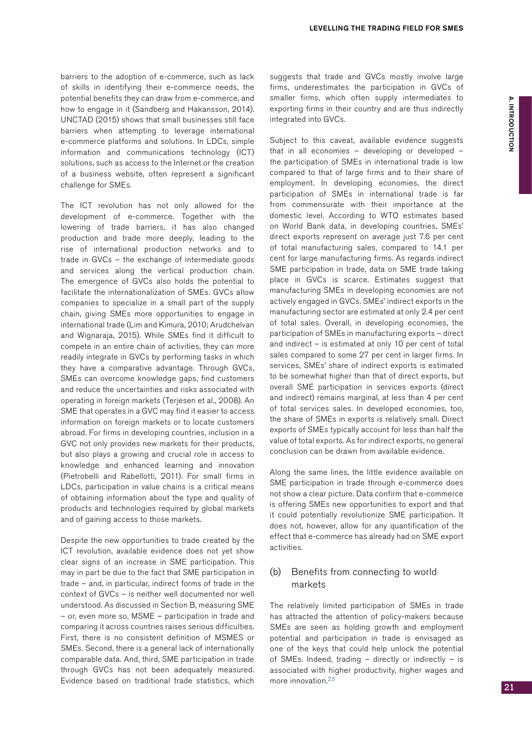barriers to the adoption of e-commerce, such as lack of skills in identifying their e-commerce needs, the potential benefits they can draw from e-commerce, and how to engage in it (Sandberg and Hakansson, 2014). UNCTAD (2015) shows that small businesses still face barriers when attempting to leverage international e-commerce platforms and solutions. In LDCs, simple information and communications technology (ICT) solutions, such as access to the Internet or the creation of a business website, often represent a significant challenge for SMEs.

The ICT revolution has not only allowed for the development of e-commerce. Together with the lowering of trade barriers, it has also changed production and trade more deeply, leading to the rise of international production networks and to trade in GVCs – the exchange of intermediate goods and services along the vertical production chain. The emergence of GVCs also holds the potential to facilitate the internationalization of SMEs. GVCs allow companies to specialize in a small part of the supply chain, giving SMEs more opportunities to engage in international trade (Lim and Kimura, 2010; Arudchelvan and Wignaraja, 2015). While SMEs find it difficult to compete in an entire chain of activities, they can more readily integrate in GVCs by performing tasks in which they have a comparative advantage. Through GVCs, SMEs can overcome knowledge gaps, find customers and reduce the uncertainties and risks associated with operating in foreign markets (Terjesen et al., 2008). An SME that operates in a GVC may find it easier to access information on foreign markets or to locate customers abroad. For firms in developing countries, inclusion in a GVC not only provides new markets for their products, but also plays a growing and crucial role in access to knowledge and enhanced learning and innovation (Pietrobelli and Rabellotti, 2011). For small firms in LDCs, participation in value chains is a critical means of obtaining information about the type and quality of products and technologies required by global markets and of gaining access to those markets.

Despite the new opportunities to trade created by the ICT revolution, available evidence does not yet show clear signs of an increase in SME participation. This may in part be due to the fact that SME participation in trade – and, in particular, indirect forms of trade in the context of GVCs – is neither well documented nor well understood. As discussed in Section B, measuring SME – or, even more so, MSME – participation in trade and comparing it across countries raises serious difficulties. First, there is no consistent definition of MSMES or SMEs. Second, there is a general lack of internationally comparable data. And, third, SME participation in trade through GVCs has not been adequately measured. Evidence based on traditional trade statistics, which suggests that trade and GVCs mostly involve large firms, underestimates the participation in GVCs of smaller firms, which often supply intermediates to exporting firms in their country and are thus indirectly integrated into GVCs.

Subject to this caveat, available evidence suggests that in all economies – developing or developed – the participation of SMEs in international trade is low compared to that of large firms and to their share of employment. In developing economies, the direct participation of SMEs in international trade is far from commensurate with their importance at the domestic level. According to WTO estimates based on World Bank data, in developing countries, SMEs' direct exports represent on average just 7.6 per cent of total manufacturing sales, compared to 14.1 per cent for large manufacturing firms. As regards indirect SME participation in trade, data on SME trade taking place in GVCs is scarce. Estimates suggest that manufacturing SMEs in developing economies are not actively engaged in GVCs. SMEs' indirect exports in the manufacturing sector are estimated at only 2.4 per cent of total sales. Overall, in developing economies, the participation of SMEs in manufacturing exports – direct and indirect – is estimated at only 10 per cent of total sales compared to some 27 per cent in larger firms. In services, SMEs' share of indirect exports is estimated to be somewhat higher than that of direct exports, but overall SME participation in services exports (direct and indirect) remains marginal, at less than 4 per cent of total services sales. In developed economies, too, the share of SMEs in exports is relatively small. Direct exports of SMEs typically account for less than half the value of total exports. As for indirect exports, no general conclusion can be drawn from available evidence.

Along the same lines, the little evidence available on SME participation in trade through e-commerce does not show a clear picture. Data confirm that e-commerce is offering SMEs new opportunities to export and that it could potentially revolutionize SME participation. It does not, however, allow for any quantification of the effect that e-commerce has already had on SME export activities.

#### (b) Benefits from connecting to world markets

The relatively limited participation of SMEs in trade has attracted the attention of policy-makers because SMEs are seen as holding growth and employment potential and participation in trade is envisaged as one of the keys that could help unlock the potential of SMEs. Indeed, trading – directly or indirectly – is associated with higher productivity, higher wages and more innovation.23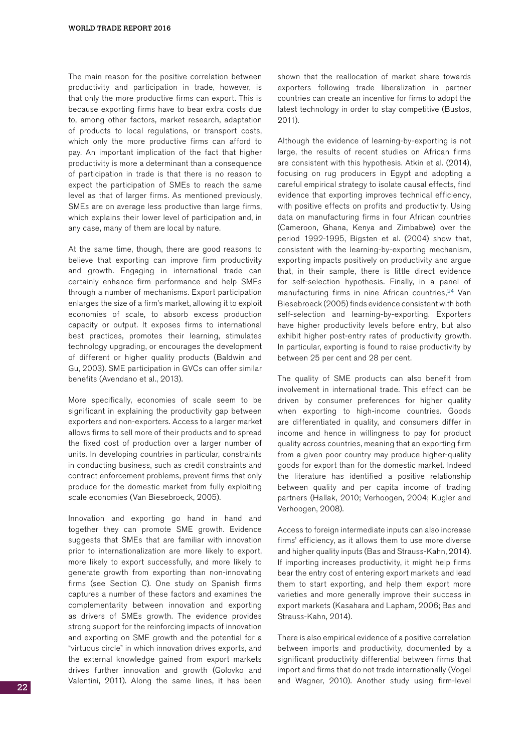The main reason for the positive correlation between productivity and participation in trade, however, is that only the more productive firms can export. This is because exporting firms have to bear extra costs due to, among other factors, market research, adaptation of products to local regulations, or transport costs, which only the more productive firms can afford to pay. An important implication of the fact that higher productivity is more a determinant than a consequence of participation in trade is that there is no reason to expect the participation of SMEs to reach the same level as that of larger firms. As mentioned previously, SMEs are on average less productive than large firms, which explains their lower level of participation and, in any case, many of them are local by nature.

At the same time, though, there are good reasons to believe that exporting can improve firm productivity and growth. Engaging in international trade can certainly enhance firm performance and help SMEs through a number of mechanisms. Export participation enlarges the size of a firm's market, allowing it to exploit economies of scale, to absorb excess production capacity or output. It exposes firms to international best practices, promotes their learning, stimulates technology upgrading, or encourages the development of different or higher quality products (Baldwin and Gu, 2003). SME participation in GVCs can offer similar benefits (Avendano et al., 2013).

More specifically, economies of scale seem to be significant in explaining the productivity gap between exporters and non-exporters. Access to a larger market allows firms to sell more of their products and to spread the fixed cost of production over a larger number of units. In developing countries in particular, constraints in conducting business, such as credit constraints and contract enforcement problems, prevent firms that only produce for the domestic market from fully exploiting scale economies (Van Biesebroeck, 2005).

Innovation and exporting go hand in hand and together they can promote SME growth. Evidence suggests that SMEs that are familiar with innovation prior to internationalization are more likely to export, more likely to export successfully, and more likely to generate growth from exporting than non-innovating firms (see Section C). One study on Spanish firms captures a number of these factors and examines the complementarity between innovation and exporting as drivers of SMEs growth. The evidence provides strong support for the reinforcing impacts of innovation and exporting on SME growth and the potential for a "virtuous circle" in which innovation drives exports, and the external knowledge gained from export markets drives further innovation and growth (Golovko and Valentini, 2011). Along the same lines, it has been

shown that the reallocation of market share towards exporters following trade liberalization in partner countries can create an incentive for firms to adopt the latest technology in order to stay competitive (Bustos, 2011).

Although the evidence of learning-by-exporting is not large, the results of recent studies on African firms are consistent with this hypothesis. Atkin et al. (2014), focusing on rug producers in Egypt and adopting a careful empirical strategy to isolate causal effects, find evidence that exporting improves technical efficiency, with positive effects on profits and productivity. Using data on manufacturing firms in four African countries (Cameroon, Ghana, Kenya and Zimbabwe) over the period 1992-1995, Bigsten et al. (2004) show that, consistent with the learning-by-exporting mechanism, exporting impacts positively on productivity and argue that, in their sample, there is little direct evidence for self-selection hypothesis. Finally, in a panel of manufacturing firms in nine African countries, <sup>24</sup> Van Biesebroeck (2005) finds evidence consistent with both self-selection and learning-by-exporting. Exporters have higher productivity levels before entry, but also exhibit higher post-entry rates of productivity growth. In particular, exporting is found to raise productivity by between 25 per cent and 28 per cent.

The quality of SME products can also benefit from involvement in international trade. This effect can be driven by consumer preferences for higher quality when exporting to high-income countries. Goods are differentiated in quality, and consumers differ in income and hence in willingness to pay for product quality across countries, meaning that an exporting firm from a given poor country may produce higher-quality goods for export than for the domestic market. Indeed the literature has identified a positive relationship between quality and per capita income of trading partners (Hallak, 2010; Verhoogen, 2004; Kugler and Verhoogen, 2008).

Access to foreign intermediate inputs can also increase firms' efficiency, as it allows them to use more diverse and higher quality inputs (Bas and Strauss-Kahn, 2014). If importing increases productivity, it might help firms bear the entry cost of entering export markets and lead them to start exporting, and help them export more varieties and more generally improve their success in export markets (Kasahara and Lapham, 2006; Bas and Strauss-Kahn, 2014).

There is also empirical evidence of a positive correlation between imports and productivity, documented by a significant productivity differential between firms that import and firms that do not trade internationally (Vogel and Wagner, 2010). Another study using firm-level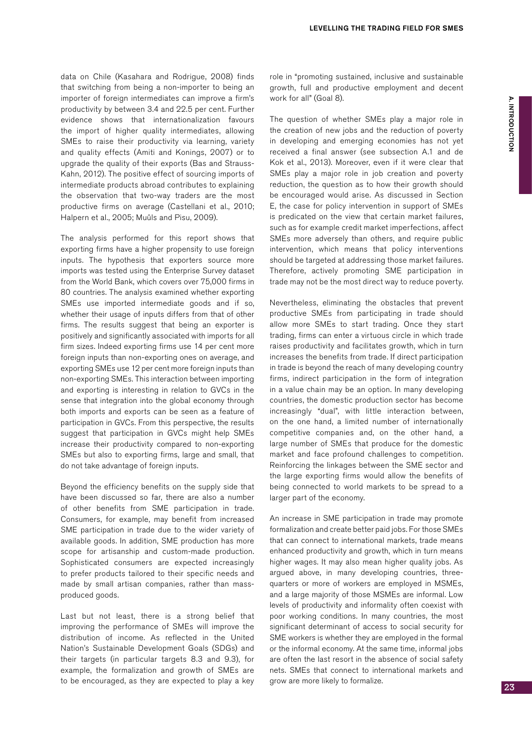data on Chile (Kasahara and Rodrigue, 2008) finds that switching from being a non-importer to being an importer of foreign intermediates can improve a firm's productivity by between 3.4 and 22.5 per cent. Further evidence shows that internationalization favours the import of higher quality intermediates, allowing SMEs to raise their productivity via learning, variety and quality effects (Amiti and Konings, 2007) or to upgrade the quality of their exports (Bas and Strauss-Kahn, 2012). The positive effect of sourcing imports of intermediate products abroad contributes to explaining the observation that two-way traders are the most productive firms on average (Castellani et al., 2010; Halpern et al., 2005; Muûls and Pisu, 2009).

The analysis performed for this report shows that exporting firms have a higher propensity to use foreign inputs. The hypothesis that exporters source more imports was tested using the Enterprise Survey dataset from the World Bank, which covers over 75,000 firms in 80 countries. The analysis examined whether exporting SMEs use imported intermediate goods and if so, whether their usage of inputs differs from that of other firms. The results suggest that being an exporter is positively and significantly associated with imports for all firm sizes. Indeed exporting firms use 14 per cent more foreign inputs than non-exporting ones on average, and exporting SMEs use 12 per cent more foreign inputs than non-exporting SMEs. This interaction between importing and exporting is interesting in relation to GVCs in the sense that integration into the global economy through both imports and exports can be seen as a feature of participation in GVCs. From this perspective, the results suggest that participation in GVCs might help SMEs increase their productivity compared to non-exporting SMEs but also to exporting firms, large and small, that do not take advantage of foreign inputs.

Beyond the efficiency benefits on the supply side that have been discussed so far, there are also a number of other benefits from SME participation in trade. Consumers, for example, may benefit from increased SME participation in trade due to the wider variety of available goods. In addition, SME production has more scope for artisanship and custom-made production. Sophisticated consumers are expected increasingly to prefer products tailored to their specific needs and made by small artisan companies, rather than massproduced goods.

Last but not least, there is a strong belief that improving the performance of SMEs will improve the distribution of income. As reflected in the United Nation's Sustainable Development Goals (SDGs) and their targets (in particular targets 8.3 and 9.3), for example, the formalization and growth of SMEs are to be encouraged, as they are expected to play a key role in "promoting sustained, inclusive and sustainable growth, full and productive employment and decent work for all" (Goal 8).

The question of whether SMEs play a major role in the creation of new jobs and the reduction of poverty in developing and emerging economies has not yet received a final answer (see subsection A.1 and de Kok et al., 2013). Moreover, even if it were clear that SMEs play a major role in job creation and poverty reduction, the question as to how their growth should be encouraged would arise. As discussed in Section E, the case for policy intervention in support of SMEs is predicated on the view that certain market failures, such as for example credit market imperfections, affect SMEs more adversely than others, and require public intervention, which means that policy interventions should be targeted at addressing those market failures. Therefore, actively promoting SME participation in trade may not be the most direct way to reduce poverty.

Nevertheless, eliminating the obstacles that prevent productive SMEs from participating in trade should allow more SMEs to start trading. Once they start trading, firms can enter a virtuous circle in which trade raises productivity and facilitates growth, which in turn increases the benefits from trade. If direct participation in trade is beyond the reach of many developing country firms, indirect participation in the form of integration in a value chain may be an option. In many developing countries, the domestic production sector has become increasingly "dual", with little interaction between, on the one hand, a limited number of internationally competitive companies and, on the other hand, a large number of SMEs that produce for the domestic market and face profound challenges to competition. Reinforcing the linkages between the SME sector and the large exporting firms would allow the benefits of being connected to world markets to be spread to a larger part of the economy.

An increase in SME participation in trade may promote formalization and create better paid jobs. For those SMEs that can connect to international markets, trade means enhanced productivity and growth, which in turn means higher wages. It may also mean higher quality jobs. As argued above, in many developing countries, threequarters or more of workers are employed in MSMEs, and a large majority of those MSMEs are informal. Low levels of productivity and informality often coexist with poor working conditions. In many countries, the most significant determinant of access to social security for SME workers is whether they are employed in the formal or the informal economy. At the same time, informal jobs are often the last resort in the absence of social safety nets. SMEs that connect to international markets and grow are more likely to formalize.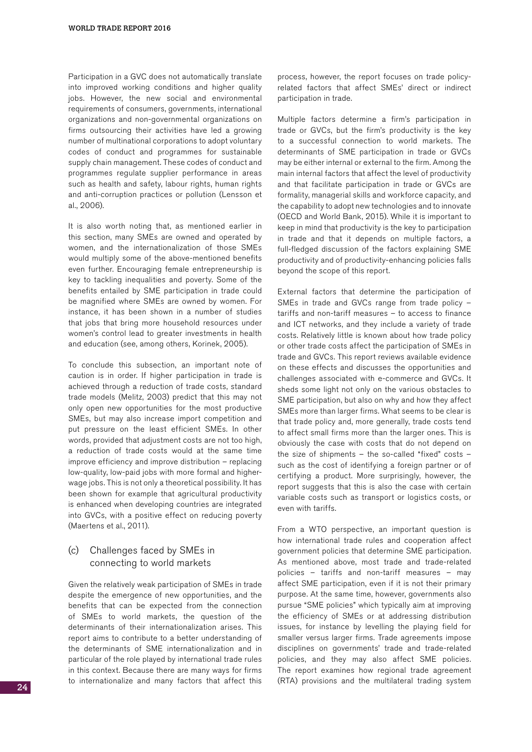Participation in a GVC does not automatically translate into improved working conditions and higher quality jobs. However, the new social and environmental requirements of consumers, governments, international organizations and non-governmental organizations on firms outsourcing their activities have led a growing number of multinational corporations to adopt voluntary codes of conduct and programmes for sustainable supply chain management. These codes of conduct and programmes regulate supplier performance in areas such as health and safety, labour rights, human rights and anti-corruption practices or pollution (Lensson et al., 2006).

It is also worth noting that, as mentioned earlier in this section, many SMEs are owned and operated by women, and the internationalization of those SMEs would multiply some of the above-mentioned benefits even further. Encouraging female entrepreneurship is key to tackling inequalities and poverty. Some of the benefits entailed by SME participation in trade could be magnified where SMEs are owned by women. For instance, it has been shown in a number of studies that jobs that bring more household resources under women's control lead to greater investments in health and education (see, among others, Korinek, 2005).

To conclude this subsection, an important note of caution is in order. If higher participation in trade is achieved through a reduction of trade costs, standard trade models (Melitz, 2003) predict that this may not only open new opportunities for the most productive SMEs, but may also increase import competition and put pressure on the least efficient SMEs. In other words, provided that adjustment costs are not too high, a reduction of trade costs would at the same time improve efficiency and improve distribution – replacing low-quality, low-paid jobs with more formal and higherwage jobs. This is not only a theoretical possibility. It has been shown for example that agricultural productivity is enhanced when developing countries are integrated into GVCs, with a positive effect on reducing poverty (Maertens et al., 2011).

#### (c) Challenges faced by SMEs in connecting to world markets

Given the relatively weak participation of SMEs in trade despite the emergence of new opportunities, and the benefits that can be expected from the connection of SMEs to world markets, the question of the determinants of their internationalization arises. This report aims to contribute to a better understanding of the determinants of SME internationalization and in particular of the role played by international trade rules in this context. Because there are many ways for firms to internationalize and many factors that affect this process, however, the report focuses on trade policyrelated factors that affect SMEs' direct or indirect participation in trade.

Multiple factors determine a firm's participation in trade or GVCs, but the firm's productivity is the key to a successful connection to world markets. The determinants of SME participation in trade or GVCs may be either internal or external to the firm. Among the main internal factors that affect the level of productivity and that facilitate participation in trade or GVCs are formality, managerial skills and workforce capacity, and the capability to adopt new technologies and to innovate (OECD and World Bank, 2015). While it is important to keep in mind that productivity is the key to participation in trade and that it depends on multiple factors, a full-fledged discussion of the factors explaining SME productivity and of productivity-enhancing policies falls beyond the scope of this report.

External factors that determine the participation of SMEs in trade and GVCs range from trade policy – tariffs and non-tariff measures – to access to finance and ICT networks, and they include a variety of trade costs. Relatively little is known about how trade policy or other trade costs affect the participation of SMEs in trade and GVCs. This report reviews available evidence on these effects and discusses the opportunities and challenges associated with e-commerce and GVCs. It sheds some light not only on the various obstacles to SME participation, but also on why and how they affect SMEs more than larger firms. What seems to be clear is that trade policy and, more generally, trade costs tend to affect small firms more than the larger ones. This is obviously the case with costs that do not depend on the size of shipments – the so-called "fixed" costs – such as the cost of identifying a foreign partner or of certifying a product. More surprisingly, however, the report suggests that this is also the case with certain variable costs such as transport or logistics costs, or even with tariffs.

From a WTO perspective, an important question is how international trade rules and cooperation affect government policies that determine SME participation. As mentioned above, most trade and trade-related policies – tariffs and non-tariff measures – may affect SME participation, even if it is not their primary purpose. At the same time, however, governments also pursue "SME policies" which typically aim at improving the efficiency of SMEs or at addressing distribution issues, for instance by levelling the playing field for smaller versus larger firms. Trade agreements impose disciplines on governments' trade and trade-related policies, and they may also affect SME policies. The report examines how regional trade agreement (RTA) provisions and the multilateral trading system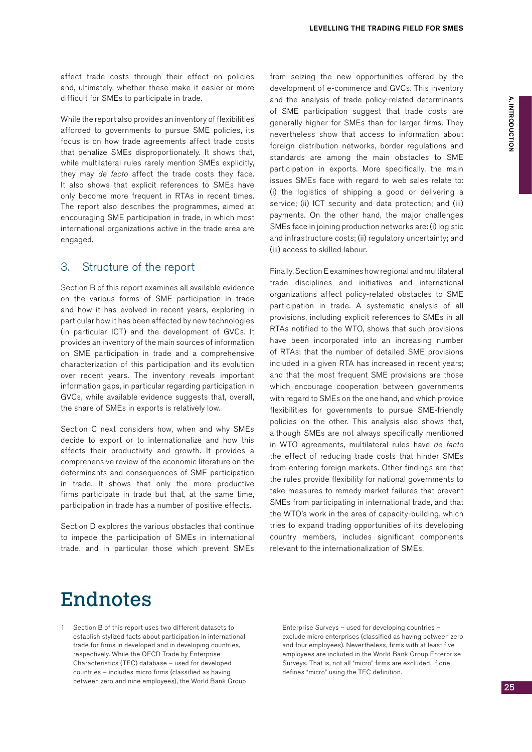affect trade costs through their effect on policies and, ultimately, whether these make it easier or more difficult for SMEs to participate in trade.

While the report also provides an inventory of flexibilities afforded to governments to pursue SME policies, its focus is on how trade agreements affect trade costs that penalize SMEs disproportionately. It shows that, while multilateral rules rarely mention SMEs explicitly, they may de facto affect the trade costs they face. It also shows that explicit references to SMEs have only become more frequent in RTAs in recent times. The report also describes the programmes, aimed at encouraging SME participation in trade, in which most international organizations active in the trade area are engaged.

#### 3. Structure of the report

Section B of this report examines all available evidence on the various forms of SME participation in trade and how it has evolved in recent years, exploring in particular how it has been affected by new technologies (in particular ICT) and the development of GVCs. It provides an inventory of the main sources of information on SME participation in trade and a comprehensive characterization of this participation and its evolution over recent years. The inventory reveals important information gaps, in particular regarding participation in GVCs, while available evidence suggests that, overall, the share of SMEs in exports is relatively low.

Section C next considers how, when and why SMEs decide to export or to internationalize and how this affects their productivity and growth. It provides a comprehensive review of the economic literature on the determinants and consequences of SME participation in trade. It shows that only the more productive firms participate in trade but that, at the same time, participation in trade has a number of positive effects.

Section D explores the various obstacles that continue to impede the participation of SMEs in international trade, and in particular those which prevent SMEs from seizing the new opportunities offered by the development of e-commerce and GVCs. This inventory and the analysis of trade policy-related determinants of SME participation suggest that trade costs are generally higher for SMEs than for larger firms. They nevertheless show that access to information about foreign distribution networks, border regulations and standards are among the main obstacles to SME participation in exports. More specifically, the main issues SMEs face with regard to web sales relate to: (i) the logistics of shipping a good or delivering a service; (ii) ICT security and data protection; and (iii) payments. On the other hand, the major challenges SMEs face in joining production networks are: (i) logistic and infrastructure costs; (ii) regulatory uncertainty; and (iii) access to skilled labour.

Finally, Section E examines how regional and multilateral trade disciplines and initiatives and international organizations affect policy-related obstacles to SME participation in trade. A systematic analysis of all provisions, including explicit references to SMEs in all RTAs notified to the WTO, shows that such provisions have been incorporated into an increasing number of RTAs; that the number of detailed SME provisions included in a given RTA has increased in recent years; and that the most frequent SME provisions are those which encourage cooperation between governments with regard to SMEs on the one hand, and which provide flexibilities for governments to pursue SME-friendly policies on the other. This analysis also shows that, although SMEs are not always specifically mentioned in WTO agreements, multilateral rules have de facto the effect of reducing trade costs that hinder SMEs from entering foreign markets. Other findings are that the rules provide flexibility for national governments to take measures to remedy market failures that prevent SMEs from participating in international trade, and that the WTO's work in the area of capacity-building, which tries to expand trading opportunities of its developing country members, includes significant components relevant to the internationalization of SMEs.

### Endnotes

1 Section B of this report uses two different datasets to establish stylized facts about participation in international trade for firms in developed and in developing countries, respectively. While the OECD Trade by Enterprise Characteristics (TEC) database – used for developed countries – includes micro firms (classified as having between zero and nine employees), the World Bank Group

Enterprise Surveys – used for developing countries – exclude micro enterprises (classified as having between zero and four employees). Nevertheless, firms with at least five employees are included in the World Bank Group Enterprise Surveys. That is, not all "micro" firms are excluded, if one defines "micro" using the TEC definition.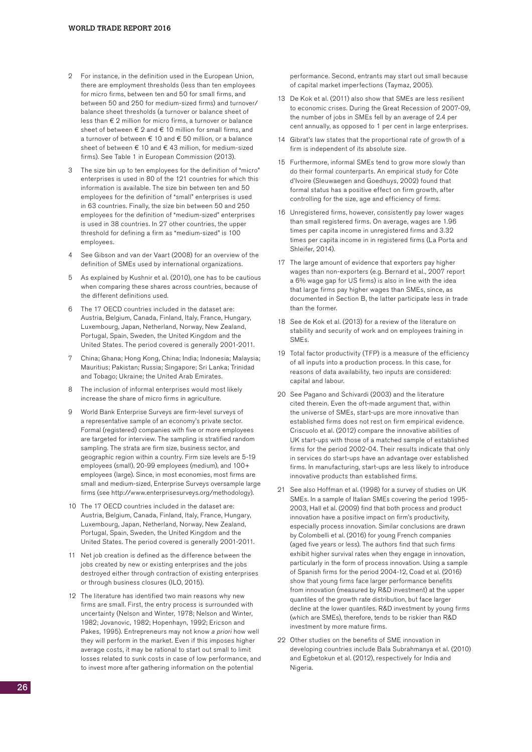- 2 For instance, in the definition used in the European Union, there are employment thresholds (less than ten employees for micro firms, between ten and 50 for small firms, and between 50 and 250 for medium-sized firms) and turnover/ balance sheet thresholds (a turnover or balance sheet of less than € 2 million for micro firms, a turnover or balance sheet of between  $\epsilon$  2 and  $\epsilon$  10 million for small firms, and a turnover of between € 10 and € 50 million, or a balance sheet of between € 10 and € 43 million, for medium-sized firms). See Table 1 in European Commission (2013).
- 3 The size bin up to ten employees for the definition of "micro" enterprises is used in 80 of the 121 countries for which this information is available. The size bin between ten and 50 employees for the definition of "small" enterprises is used in 63 countries. Finally, the size bin between 50 and 250 employees for the definition of "medium-sized" enterprises is used in 38 countries. In 27 other countries, the upper threshold for defining a firm as "medium-sized" is 100 employees.
- 4 See Gibson and van der Vaart (2008) for an overview of the definition of SMEs used by international organizations.
- 5 As explained by Kushnir et al. (2010), one has to be cautious when comparing these shares across countries, because of the different definitions used.
- 6 The 17 OECD countries included in the dataset are: Austria, Belgium, Canada, Finland, Italy, France, Hungary, Luxembourg, Japan, Netherland, Norway, New Zealand, Portugal, Spain, Sweden, the United Kingdom and the United States. The period covered is generally 2001-2011.
- China; Ghana; Hong Kong, China; India; Indonesia; Malaysia; Mauritius; Pakistan; Russia; Singapore; Sri Lanka; Trinidad and Tobago; Ukraine; the United Arab Emirates.
- 8 The inclusion of informal enterprises would most likely increase the share of micro firms in agriculture.
- 9 World Bank Enterprise Surveys are firm-level surveys of a representative sample of an economy's private sector. Formal (registered) companies with five or more employees are targeted for interview. The sampling is stratified random sampling. The strata are firm size, business sector, and geographic region within a country. Firm size levels are 5-19 employees (small), 20-99 employees (medium), and 100+ employees (large). Since, in most economies, most firms are small and medium-sized, Enterprise Surveys oversample large firms (see http://www.enterprisesurveys.org/methodology).
- 10 The 17 OECD countries included in the dataset are: Austria, Belgium, Canada, Finland, Italy, France, Hungary, Luxembourg, Japan, Netherland, Norway, New Zealand, Portugal, Spain, Sweden, the United Kingdom and the United States. The period covered is generally 2001-2011.
- 11 Net job creation is defined as the difference between the jobs created by new or existing enterprises and the jobs destroyed either through contraction of existing enterprises or through business closures (ILO, 2015).
- 12 The literature has identified two main reasons why new firms are small. First, the entry process is surrounded with uncertainty (Nelson and Winter, 1978; Nelson and Winter, 1982; Jovanovic, 1982; Hopenhayn, 1992; Ericson and Pakes, 1995). Entrepreneurs may not know a priori how well they will perform in the market. Even if this imposes higher average costs, it may be rational to start out small to limit losses related to sunk costs in case of low performance, and to invest more after gathering information on the potential

performance. Second, entrants may start out small because of capital market imperfections (Taymaz, 2005).

- 13 De Kok et al. (2011) also show that SMEs are less resilient to economic crises. During the Great Recession of 2007-09, the number of jobs in SMEs fell by an average of 2.4 per cent annually, as opposed to 1 per cent in large enterprises.
- 14 Gibrat's law states that the proportional rate of growth of a firm is independent of its absolute size.
- 15 Furthermore, informal SMEs tend to grow more slowly than do their formal counterparts. An empirical study for Côte d'Ivoire (Sleuwaegen and Goedhuys, 2002) found that formal status has a positive effect on firm growth, after controlling for the size, age and efficiency of firms.
- 16 Unregistered firms, however, consistently pay lower wages than small registered firms. On average, wages are 1.96 times per capita income in unregistered firms and 3.32 times per capita income in in registered firms (La Porta and Shleifer, 2014).
- 17 The large amount of evidence that exporters pay higher wages than non-exporters (e.g. Bernard et al., 2007 report a 6% wage gap for US firms) is also in line with the idea that large firms pay higher wages than SMEs, since, as documented in Section B, the latter participate less in trade than the former.
- 18 See de Kok et al. (2013) for a review of the literature on stability and security of work and on employees training in SMEs.
- 19 Total factor productivity (TFP) is a measure of the efficiency of all inputs into a production process. In this case, for reasons of data availability, two inputs are considered: capital and labour.
- 20 See Pagano and Schivardi (2003) and the literature cited therein. Even the oft-made argument that, within the universe of SMEs, start-ups are more innovative than established firms does not rest on firm empirical evidence. Criscuolo et al. (2012) compare the innovative abilities of UK start-ups with those of a matched sample of established firms for the period 2002-04. Their results indicate that only in services do start-ups have an advantage over established firms. In manufacturing, start-ups are less likely to introduce innovative products than established firms.
- 21 See also Hoffman et al. (1998) for a survey of studies on UK SMEs. In a sample of Italian SMEs covering the period 1995- 2003, Hall et al. (2009) find that both process and product innovation have a positive impact on firm's productivity, especially process innovation. Similar conclusions are drawn by Colombelli et al. (2016) for young French companies (aged five years or less). The authors find that such firms exhibit higher survival rates when they engage in innovation, particularly in the form of process innovation. Using a sample of Spanish firms for the period 2004-12, Coad et al. (2016) show that young firms face larger performance benefits from innovation (measured by R&D investment) at the upper quantiles of the growth rate distribution, but face larger decline at the lower quantiles. R&D investment by young firms (which are SMEs), therefore, tends to be riskier than R&D investment by more mature firms.
- 22 Other studies on the benefits of SME innovation in developing countries include Bala Subrahmanya et al. (2010) and Egbetokun et al. (2012), respectively for India and Nigeria.